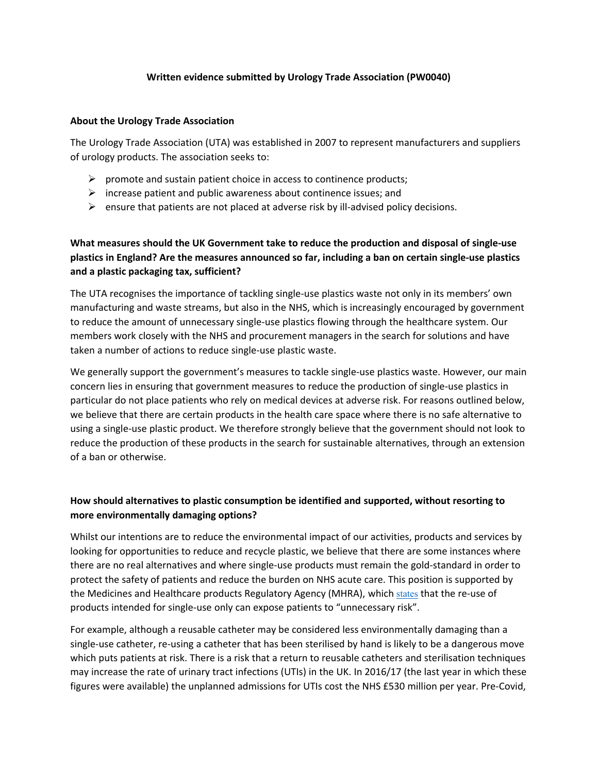### **Written evidence submitted by Urology Trade Association (PW0040)**

### **About the Urology Trade Association**

The Urology Trade Association (UTA) was established in 2007 to represent manufacturers and suppliers of urology products. The association seeks to:

- $\triangleright$  promote and sustain patient choice in access to continence products;
- $\triangleright$  increase patient and public awareness about continence issues; and
- $\triangleright$  ensure that patients are not placed at adverse risk by ill-advised policy decisions.

# **What measures should the UK Government take to reduce the production and disposal of single-use plastics in England? Are the measures announced so far, including a ban on certain single-use plastics and a plastic packaging tax, sufficient?**

The UTA recognises the importance of tackling single-use plastics waste not only in its members' own manufacturing and waste streams, but also in the NHS, which is increasingly encouraged by government to reduce the amount of unnecessary single-use plastics flowing through the healthcare system. Our members work closely with the NHS and procurement managers in the search for solutions and have taken a number of actions to reduce single-use plastic waste.

We generally support the government's measures to tackle single-use plastics waste. However, our main concern lies in ensuring that government measures to reduce the production of single-use plastics in particular do not place patients who rely on medical devices at adverse risk. For reasons outlined below, we believe that there are certain products in the health care space where there is no safe alternative to using a single-use plastic product. We therefore strongly believe that the government should not look to reduce the production of these products in the search for sustainable alternatives, through an extension of a ban or otherwise.

### **How should alternatives to plastic consumption be identified and supported, without resorting to more environmentally damaging options?**

Whilst our intentions are to reduce the environmental impact of our activities, products and services by looking for opportunities to reduce and recycle plastic, we believe that there are some instances where there are no real alternatives and where single-use products must remain the gold-standard in order to protect the safety of patients and reduce the burden on NHS acute care. This position is supported by the Medicines and Healthcare products Regulatory Agency (MHRA), which [states](https://assets.publishing.service.gov.uk/government/uploads/system/uploads/attachment_data/file/956268/Single_use_medical_devices.pdf) that the re-use of products intended for single-use only can expose patients to "unnecessary risk".

For example, although a reusable catheter may be considered less environmentally damaging than a single-use catheter, re-using a catheter that has been sterilised by hand is likely to be a dangerous move which puts patients at risk. There is a risk that a return to reusable catheters and sterilisation techniques may increase the rate of urinary tract infections (UTIs) in the UK. In 2016/17 (the last year in which these figures were available) the unplanned admissions for UTIs [cost](https://static1.squarespace.com/static/5638ec80e4b0b4604ee0e0e5/t/5e677ee995aba23ba92c767d/1583841014599/SCREEN_Best_Practice_Guide_Version_4.pdf) the NHS £530 million per year. Pre-Covid,